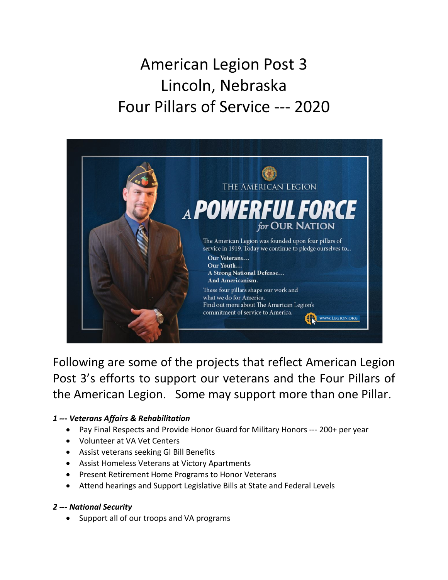# American Legion Post 3 Lincoln, Nebraska Four Pillars of Service --- 2020



Following are some of the projects that reflect American Legion Post 3's efforts to support our veterans and the Four Pillars of the American Legion. Some may support more than one Pillar.

## *1 --- Veterans Affairs & Rehabilitation*

- Pay Final Respects and Provide Honor Guard for Military Honors --- 200+ per year
- Volunteer at VA Vet Centers
- Assist veterans seeking GI Bill Benefits
- Assist Homeless Veterans at Victory Apartments
- Present Retirement Home Programs to Honor Veterans
- Attend hearings and Support Legislative Bills at State and Federal Levels

## *2 --- National Security*

• Support all of our troops and VA programs